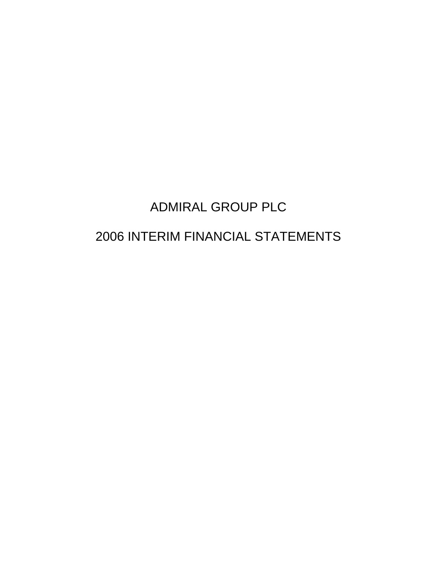# ADMIRAL GROUP PLC

# 2006 INTERIM FINANCIAL STATEMENTS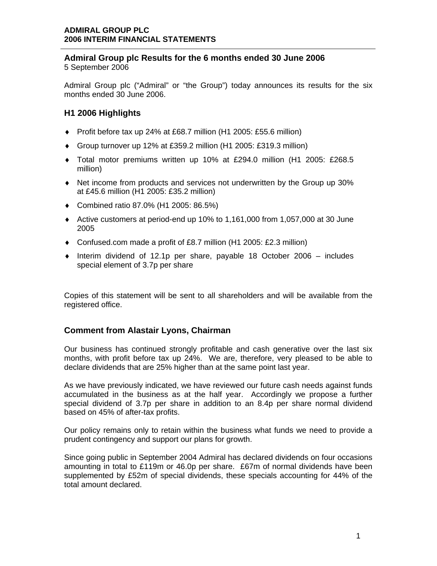### **Admiral Group plc Results for the 6 months ended 30 June 2006**  5 September 2006

Admiral Group plc ("Admiral" or "the Group") today announces its results for the six months ended 30 June 2006.

# **H1 2006 Highlights**

- ♦ Profit before tax up 24% at £68.7 million (H1 2005: £55.6 million)
- ♦ Group turnover up 12% at £359.2 million (H1 2005: £319.3 million)
- ♦ Total motor premiums written up 10% at £294.0 million (H1 2005: £268.5 million)
- ♦ Net income from products and services not underwritten by the Group up 30% at £45.6 million (H1 2005: £35.2 million)
- ♦ Combined ratio 87.0% (H1 2005: 86.5%)
- ♦ Active customers at period-end up 10% to 1,161,000 from 1,057,000 at 30 June 2005
- ♦ Confused.com made a profit of £8.7 million (H1 2005: £2.3 million)
- $\bullet$  Interim dividend of 12.1p per share, payable 18 October 2006 includes special element of 3.7p per share

Copies of this statement will be sent to all shareholders and will be available from the registered office.

# **Comment from Alastair Lyons, Chairman**

Our business has continued strongly profitable and cash generative over the last six months, with profit before tax up 24%. We are, therefore, very pleased to be able to declare dividends that are 25% higher than at the same point last year.

As we have previously indicated, we have reviewed our future cash needs against funds accumulated in the business as at the half year. Accordingly we propose a further special dividend of 3.7p per share in addition to an 8.4p per share normal dividend based on 45% of after-tax profits.

Our policy remains only to retain within the business what funds we need to provide a prudent contingency and support our plans for growth.

Since going public in September 2004 Admiral has declared dividends on four occasions amounting in total to £119m or 46.0p per share. £67m of normal dividends have been supplemented by £52m of special dividends, these specials accounting for 44% of the total amount declared.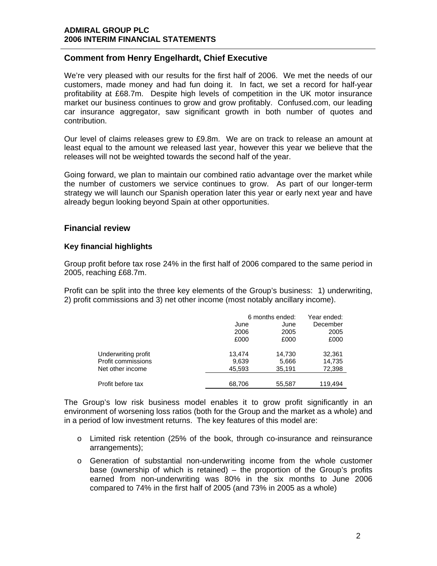# **Comment from Henry Engelhardt, Chief Executive**

We're very pleased with our results for the first half of 2006. We met the needs of our customers, made money and had fun doing it. In fact, we set a record for half-year profitability at £68.7m. Despite high levels of competition in the UK motor insurance market our business continues to grow and grow profitably. Confused.com, our leading car insurance aggregator, saw significant growth in both number of quotes and contribution.

Our level of claims releases grew to £9.8m. We are on track to release an amount at least equal to the amount we released last year, however this year we believe that the releases will not be weighted towards the second half of the year.

Going forward, we plan to maintain our combined ratio advantage over the market while the number of customers we service continues to grow. As part of our longer-term strategy we will launch our Spanish operation later this year or early next year and have already begun looking beyond Spain at other opportunities.

### **Financial review**

### **Key financial highlights**

Group profit before tax rose 24% in the first half of 2006 compared to the same period in 2005, reaching £68.7m.

Profit can be split into the three key elements of the Group's business: 1) underwriting, 2) profit commissions and 3) net other income (most notably ancillary income).

|                                                               | June<br>2006<br>£000      | 6 months ended:<br>June<br>2005<br>£000 | Year ended:<br>December<br>2005<br>£000 |
|---------------------------------------------------------------|---------------------------|-----------------------------------------|-----------------------------------------|
| Underwriting profit<br>Profit commissions<br>Net other income | 13.474<br>9,639<br>45,593 | 14,730<br>5,666<br>35,191               | 32,361<br>14,735<br>72,398              |
| Profit before tax                                             | 68,706                    | 55,587                                  | 119,494                                 |

The Group's low risk business model enables it to grow profit significantly in an environment of worsening loss ratios (both for the Group and the market as a whole) and in a period of low investment returns. The key features of this model are:

- o Limited risk retention (25% of the book, through co-insurance and reinsurance arrangements);
- o Generation of substantial non-underwriting income from the whole customer base (ownership of which is retained) – the proportion of the Group's profits earned from non-underwriting was 80% in the six months to June 2006 compared to 74% in the first half of 2005 (and 73% in 2005 as a whole)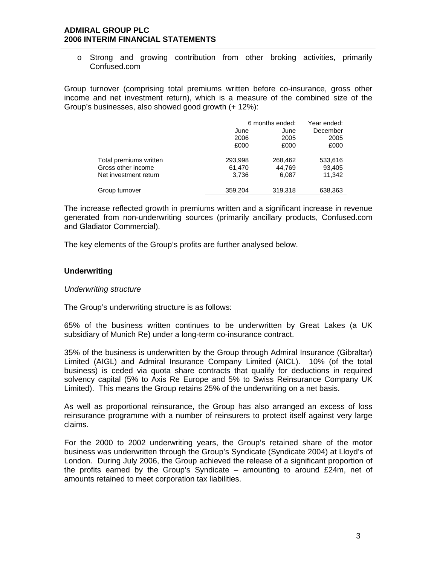o Strong and growing contribution from other broking activities, primarily Confused.com

Group turnover (comprising total premiums written before co-insurance, gross other income and net investment return), which is a measure of the combined size of the Group's businesses, also showed good growth (+ 12%):

|                                                                       | June<br>2006<br>£000       | 6 months ended:<br>June<br>2005<br>£000 | Year ended:<br>December<br>2005<br>£000 |
|-----------------------------------------------------------------------|----------------------------|-----------------------------------------|-----------------------------------------|
| Total premiums written<br>Gross other income<br>Net investment return | 293,998<br>61,470<br>3,736 | 268,462<br>44,769<br>6,087              | 533,616<br>93,405<br>11,342             |
| Group turnover                                                        | 359,204                    | 319,318                                 | 638,363                                 |

The increase reflected growth in premiums written and a significant increase in revenue generated from non-underwriting sources (primarily ancillary products, Confused.com and Gladiator Commercial).

The key elements of the Group's profits are further analysed below.

### **Underwriting**

#### *Underwriting structure*

The Group's underwriting structure is as follows:

65% of the business written continues to be underwritten by Great Lakes (a UK subsidiary of Munich Re) under a long-term co-insurance contract.

35% of the business is underwritten by the Group through Admiral Insurance (Gibraltar) Limited (AIGL) and Admiral Insurance Company Limited (AICL). 10% (of the total business) is ceded via quota share contracts that qualify for deductions in required solvency capital (5% to Axis Re Europe and 5% to Swiss Reinsurance Company UK Limited). This means the Group retains 25% of the underwriting on a net basis.

As well as proportional reinsurance, the Group has also arranged an excess of loss reinsurance programme with a number of reinsurers to protect itself against very large claims.

For the 2000 to 2002 underwriting years, the Group's retained share of the motor business was underwritten through the Group's Syndicate (Syndicate 2004) at Lloyd's of London. During July 2006, the Group achieved the release of a significant proportion of the profits earned by the Group's Syndicate – amounting to around  $E24m$ , net of amounts retained to meet corporation tax liabilities.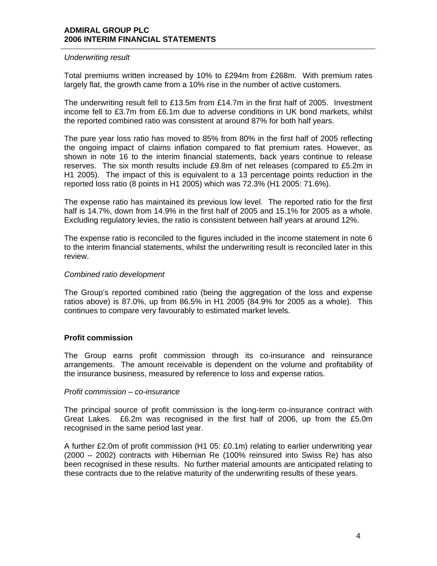### *Underwriting result*

Total premiums written increased by 10% to £294m from £268m. With premium rates largely flat, the growth came from a 10% rise in the number of active customers.

The underwriting result fell to £13.5m from £14.7m in the first half of 2005. Investment income fell to £3.7m from £6.1m due to adverse conditions in UK bond markets, whilst the reported combined ratio was consistent at around 87% for both half years.

The pure year loss ratio has moved to 85% from 80% in the first half of 2005 reflecting the ongoing impact of claims inflation compared to flat premium rates. However, as shown in note 16 to the interim financial statements, back years continue to release reserves. The six month results include £9.8m of net releases (compared to £5.2m in H1 2005). The impact of this is equivalent to a 13 percentage points reduction in the reported loss ratio (8 points in H1 2005) which was 72.3% (H1 2005: 71.6%).

The expense ratio has maintained its previous low level. The reported ratio for the first half is 14.7%, down from 14.9% in the first half of 2005 and 15.1% for 2005 as a whole. Excluding regulatory levies, the ratio is consistent between half years at around 12%.

The expense ratio is reconciled to the figures included in the income statement in note 6 to the interim financial statements, whilst the underwriting result is reconciled later in this review.

### *Combined ratio development*

The Group's reported combined ratio (being the aggregation of the loss and expense ratios above) is 87.0%, up from 86.5% in H1 2005 (84.9% for 2005 as a whole). This continues to compare very favourably to estimated market levels.

### **Profit commission**

The Group earns profit commission through its co-insurance and reinsurance arrangements. The amount receivable is dependent on the volume and profitability of the insurance business, measured by reference to loss and expense ratios.

#### *Profit commission – co-insurance*

The principal source of profit commission is the long-term co-insurance contract with Great Lakes. £6.2m was recognised in the first half of 2006, up from the £5.0m recognised in the same period last year.

A further £2.0m of profit commission (H1 05: £0.1m) relating to earlier underwriting year (2000 – 2002) contracts with Hibernian Re (100% reinsured into Swiss Re) has also been recognised in these results. No further material amounts are anticipated relating to these contracts due to the relative maturity of the underwriting results of these years.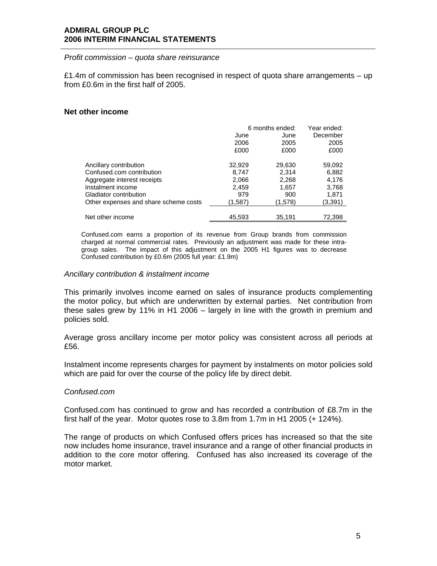### *Profit commission – quota share reinsurance*

£1.4m of commission has been recognised in respect of quota share arrangements  $-$  up from £0.6m in the first half of 2005.

### **Net other income**

|                                       | 6 months ended: |         | Year ended: |  |
|---------------------------------------|-----------------|---------|-------------|--|
|                                       | June            | June    | December    |  |
|                                       | 2006            | 2005    | 2005        |  |
|                                       | £000            | £000    | £000        |  |
| Ancillary contribution                | 32,929          | 29,630  | 59,092      |  |
| Confused.com contribution             | 8,747           | 2,314   | 6,882       |  |
|                                       |                 |         |             |  |
| Aggregate interest receipts           | 2,066           | 2,268   | 4,176       |  |
| Instalment income                     | 2,459           | 1,657   | 3,768       |  |
| Gladiator contribution                | 979             | 900     | 1.871       |  |
| Other expenses and share scheme costs | (1,587)         | (1,578) | (3,391)     |  |
|                                       |                 |         |             |  |
| Net other income                      | 45,593          | 35,191  | 72,398      |  |

Confused.com earns a proportion of its revenue from Group brands from commission charged at normal commercial rates. Previously an adjustment was made for these intragroup sales. The impact of this adjustment on the 2005 H1 figures was to decrease Confused contribution by £0.6m (2005 full year: £1.9m)

### *Ancillary contribution & instalment income*

This primarily involves income earned on sales of insurance products complementing the motor policy, but which are underwritten by external parties. Net contribution from these sales grew by 11% in H1 2006 – largely in line with the growth in premium and policies sold.

Average gross ancillary income per motor policy was consistent across all periods at £56.

Instalment income represents charges for payment by instalments on motor policies sold which are paid for over the course of the policy life by direct debit.

#### *Confused.com*

Confused.com has continued to grow and has recorded a contribution of £8.7m in the first half of the year. Motor quotes rose to 3.8m from 1.7m in H1 2005 (+ 124%).

The range of products on which Confused offers prices has increased so that the site now includes home insurance, travel insurance and a range of other financial products in addition to the core motor offering. Confused has also increased its coverage of the motor market.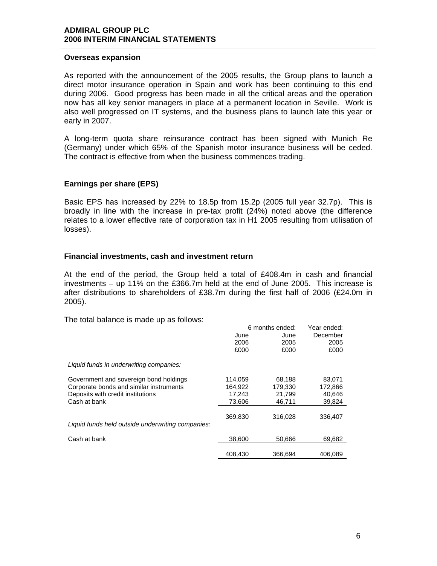### **Overseas expansion**

As reported with the announcement of the 2005 results, the Group plans to launch a direct motor insurance operation in Spain and work has been continuing to this end during 2006. Good progress has been made in all the critical areas and the operation now has all key senior managers in place at a permanent location in Seville. Work is also well progressed on IT systems, and the business plans to launch late this year or early in 2007.

A long-term quota share reinsurance contract has been signed with Munich Re (Germany) under which 65% of the Spanish motor insurance business will be ceded. The contract is effective from when the business commences trading.

### **Earnings per share (EPS)**

Basic EPS has increased by 22% to 18.5p from 15.2p (2005 full year 32.7p). This is broadly in line with the increase in pre-tax profit (24%) noted above (the difference relates to a lower effective rate of corporation tax in H1 2005 resulting from utilisation of losses).

### **Financial investments, cash and investment return**

At the end of the period, the Group held a total of £408.4m in cash and financial investments – up 11% on the £366.7m held at the end of June 2005. This increase is after distributions to shareholders of £38.7m during the first half of 2006 (£24.0m in 2005).

The total balance is made up as follows:

|                                                   |         | 6 months ended: | Year ended: |
|---------------------------------------------------|---------|-----------------|-------------|
|                                                   | June    | June            | December    |
|                                                   | 2006    | 2005            | 2005        |
|                                                   | £000    | £000            | £000        |
| Liquid funds in underwriting companies:           |         |                 |             |
| Government and sovereign bond holdings            | 114,059 | 68,188          | 83,071      |
| Corporate bonds and similar instruments           | 164,922 | 179,330         | 172,866     |
| Deposits with credit institutions                 | 17,243  | 21,799          | 40,646      |
| Cash at bank                                      | 73.606  | 46,711          | 39,824      |
|                                                   |         |                 |             |
|                                                   | 369,830 | 316.028         | 336,407     |
| Liquid funds held outside underwriting companies: |         |                 |             |
| Cash at bank                                      | 38,600  | 50,666          | 69,682      |
|                                                   |         |                 |             |
|                                                   | 408.430 | 366,694         | 406,089     |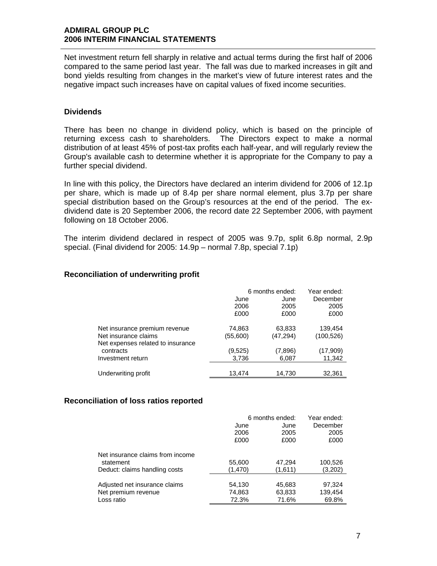Net investment return fell sharply in relative and actual terms during the first half of 2006 compared to the same period last year. The fall was due to marked increases in gilt and bond yields resulting from changes in the market's view of future interest rates and the negative impact such increases have on capital values of fixed income securities.

### **Dividends**

There has been no change in dividend policy, which is based on the principle of returning excess cash to shareholders. The Directors expect to make a normal distribution of at least 45% of post-tax profits each half-year, and will regularly review the Group's available cash to determine whether it is appropriate for the Company to pay a further special dividend.

In line with this policy, the Directors have declared an interim dividend for 2006 of 12.1p per share, which is made up of 8.4p per share normal element, plus 3.7p per share special distribution based on the Group's resources at the end of the period. The exdividend date is 20 September 2006, the record date 22 September 2006, with payment following on 18 October 2006.

The interim dividend declared in respect of 2005 was 9.7p, split 6.8p normal, 2.9p special. (Final dividend for 2005: 14.9p – normal 7.8p, special 7.1p)

### **Reconciliation of underwriting profit**

|                                   | 6 months ended: | Year ended: |            |
|-----------------------------------|-----------------|-------------|------------|
|                                   | June            | June        | December   |
|                                   | 2006            | 2005        | 2005       |
|                                   | £000            | £000        | £000       |
| Net insurance premium revenue     | 74,863          | 63,833      | 139,454    |
| Net insurance claims              | (55,600)        | (47, 294)   | (100, 526) |
| Net expenses related to insurance |                 |             |            |
| contracts                         | (9,525)         | (7,896)     | (17,909)   |
| Investment return                 | 3,736           | 6,087       | 11,342     |
|                                   |                 |             |            |
| Underwriting profit               | 13,474          | 14,730      | 32,361     |

### **Reconciliation of loss ratios reported**

|                                  | 6 months ended: | Year ended: |          |
|----------------------------------|-----------------|-------------|----------|
|                                  | June            | June        | December |
|                                  | 2006            | 2005        | 2005     |
|                                  | £000            | £000        | £000     |
| Net insurance claims from income |                 |             |          |
| statement                        | 55,600          | 47,294      | 100,526  |
| Deduct: claims handling costs    | (1,470)         | (1,611)     | (3.202)  |
|                                  |                 |             |          |
| Adjusted net insurance claims    | 54,130          | 45,683      | 97,324   |
| Net premium revenue              | 74,863          | 63,833      | 139,454  |
| Loss ratio                       | 72.3%           | 71.6%       | 69.8%    |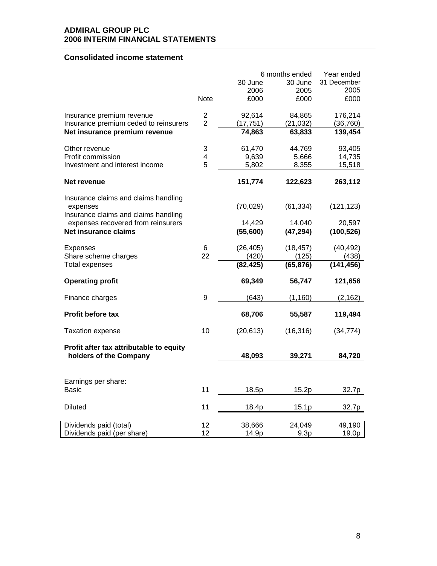# **Consolidated income statement**

|                                                                            |                |           | 6 months ended | Year ended  |
|----------------------------------------------------------------------------|----------------|-----------|----------------|-------------|
|                                                                            |                | 30 June   | 30 June        | 31 December |
|                                                                            |                | 2006      | 2005           | 2005        |
|                                                                            | Note           | £000      | £000           | £000        |
| Insurance premium revenue                                                  | $\overline{c}$ | 92,614    | 84,865         | 176,214     |
| Insurance premium ceded to reinsurers                                      | $\overline{2}$ | (17, 751) | (21, 032)      | (36, 760)   |
| Net insurance premium revenue                                              |                | 74,863    | 63,833         | 139,454     |
| Other revenue                                                              | 3              | 61,470    | 44,769         | 93,405      |
| Profit commission                                                          | 4              | 9,639     | 5,666          | 14,735      |
| Investment and interest income                                             | 5              | 5,802     | 8,355          | 15,518      |
| Net revenue                                                                |                | 151,774   | 122,623        | 263,112     |
| Insurance claims and claims handling                                       |                |           |                |             |
| expenses                                                                   |                | (70, 029) | (61, 334)      | (121, 123)  |
| Insurance claims and claims handling<br>expenses recovered from reinsurers |                | 14,429    | 14,040         | 20,597      |
| <b>Net insurance claims</b>                                                |                | (55,600)  | (47, 294)      | (100, 526)  |
| <b>Expenses</b>                                                            | 6              | (26, 405) | (18, 457)      | (40, 492)   |
| Share scheme charges                                                       | 22             | (420)     | (125)          | (438)       |
| <b>Total expenses</b>                                                      |                | (82, 425) | (65, 876)      | (141, 456)  |
| <b>Operating profit</b>                                                    |                | 69,349    | 56,747         | 121,656     |
| Finance charges                                                            | 9              | (643)     | (1, 160)       | (2, 162)    |
| Profit before tax                                                          |                | 68,706    | 55,587         | 119,494     |
| <b>Taxation expense</b>                                                    | 10             | (20, 613) | (16, 316)      | (34,774)    |
| Profit after tax attributable to equity                                    |                |           |                |             |
| holders of the Company                                                     |                | 48,093    | 39,271         | 84,720      |
|                                                                            |                |           |                |             |
| Earnings per share:                                                        |                |           |                |             |
| Basic                                                                      | 11             | 18.5p     | 15.2p          | 32.7p       |
| <b>Diluted</b>                                                             | 11             | 18.4p     | 15.1p          | 32.7p       |
| Dividends paid (total)                                                     | 12             | 38,666    | 24,049         | 49,190      |
| Dividends paid (per share)                                                 | 12             | 14.9p     | 9.3p           | 19.0p       |
|                                                                            |                |           |                |             |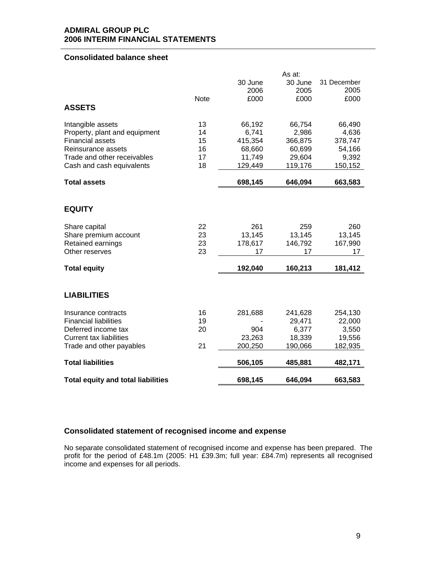### **Consolidated balance sheet**

|                                           |             |         | As at:  |             |
|-------------------------------------------|-------------|---------|---------|-------------|
|                                           |             | 30 June | 30 June | 31 December |
|                                           |             | 2006    | 2005    | 2005        |
|                                           | <b>Note</b> | £000    | £000    | £000        |
| <b>ASSETS</b>                             |             |         |         |             |
| Intangible assets                         | 13          | 66,192  | 66,754  | 66,490      |
| Property, plant and equipment             | 14          | 6,741   | 2,986   | 4,636       |
| <b>Financial assets</b>                   | 15          | 415,354 | 366,875 | 378,747     |
| Reinsurance assets                        | 16          | 68,660  | 60,699  | 54,166      |
| Trade and other receivables               | 17          | 11,749  | 29,604  | 9,392       |
| Cash and cash equivalents                 | 18          | 129,449 | 119,176 | 150,152     |
| <b>Total assets</b>                       |             | 698,145 | 646,094 | 663,583     |
|                                           |             |         |         |             |
| <b>EQUITY</b>                             |             |         |         |             |
| Share capital                             | 22          | 261     | 259     | 260         |
| Share premium account                     | 23          | 13,145  | 13,145  | 13,145      |
| Retained earnings                         | 23          | 178,617 | 146,792 | 167,990     |
| Other reserves                            | 23          | 17      | 17      | 17          |
| <b>Total equity</b>                       |             | 192,040 | 160,213 | 181,412     |
|                                           |             |         |         |             |
| <b>LIABILITIES</b>                        |             |         |         |             |
| Insurance contracts                       | 16          | 281,688 | 241,628 | 254,130     |
| <b>Financial liabilities</b>              | 19          |         | 29,471  | 22,000      |
| Deferred income tax                       | 20          | 904     | 6,377   | 3,550       |
| <b>Current tax liabilities</b>            |             | 23,263  | 18,339  | 19,556      |
| Trade and other payables                  | 21          | 200,250 | 190,066 | 182,935     |
| <b>Total liabilities</b>                  |             | 506,105 | 485,881 | 482,171     |
|                                           |             |         |         |             |
| <b>Total equity and total liabilities</b> |             | 698,145 | 646,094 | 663,583     |

# **Consolidated statement of recognised income and expense**

No separate consolidated statement of recognised income and expense has been prepared. The profit for the period of £48.1m (2005: H1 £39.3m; full year: £84.7m) represents all recognised income and expenses for all periods.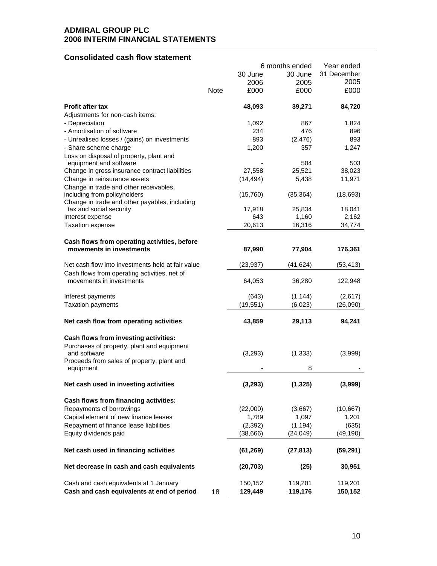# **Consolidated cash flow statement**

|                                                                               |      |           | 6 months ended | Year ended  |
|-------------------------------------------------------------------------------|------|-----------|----------------|-------------|
|                                                                               |      | 30 June   | 30 June        | 31 December |
|                                                                               |      | 2006      | 2005           | 2005        |
|                                                                               | Note | £000      | £000           | £000        |
| <b>Profit after tax</b>                                                       |      | 48,093    | 39,271         | 84,720      |
| Adjustments for non-cash items:                                               |      |           |                |             |
| - Depreciation                                                                |      | 1,092     | 867            | 1,824       |
| - Amortisation of software                                                    |      | 234       | 476            | 896         |
| - Unrealised losses / (gains) on investments                                  |      | 893       | (2, 476)       | 893         |
| - Share scheme charge                                                         |      | 1,200     | 357            | 1,247       |
| Loss on disposal of property, plant and<br>equipment and software             |      |           | 504            | 503         |
| Change in gross insurance contract liabilities                                |      | 27,558    | 25,521         | 38,023      |
| Change in reinsurance assets                                                  |      | (14, 494) | 5,438          | 11,971      |
| Change in trade and other receivables,                                        |      |           |                |             |
| including from policyholders<br>Change in trade and other payables, including |      | (15,760)  | (35, 364)      | (18, 693)   |
| tax and social security                                                       |      | 17,918    | 25,834         | 18,041      |
| Interest expense                                                              |      | 643       | 1,160          | 2,162       |
| <b>Taxation expense</b>                                                       |      | 20,613    | 16,316         | 34,774      |
|                                                                               |      |           |                |             |
| Cash flows from operating activities, before<br>movements in investments      |      | 87,990    | 77,904         | 176,361     |
| Net cash flow into investments held at fair value                             |      | (23, 937) | (41, 624)      | (53, 413)   |
| Cash flows from operating activities, net of                                  |      |           |                |             |
| movements in investments                                                      |      | 64,053    | 36,280         | 122,948     |
| Interest payments                                                             |      | (643)     | (1, 144)       | (2,617)     |
| <b>Taxation payments</b>                                                      |      | (19, 551) | (6,023)        | (26,090)    |
| Net cash flow from operating activities                                       |      | 43,859    | 29,113         | 94,241      |
| Cash flows from investing activities:                                         |      |           |                |             |
| Purchases of property, plant and equipment                                    |      |           |                |             |
| and software                                                                  |      | (3,293)   | (1, 333)       | (3,999)     |
| Proceeds from sales of property, plant and                                    |      |           |                |             |
| equipment                                                                     |      |           | 8              |             |
| Net cash used in investing activities                                         |      | (3, 293)  | (1, 325)       | (3,999)     |
| Cash flows from financing activities:                                         |      |           |                |             |
| Repayments of borrowings                                                      |      | (22,000)  | (3,667)        | (10, 667)   |
| Capital element of new finance leases                                         |      | 1,789     | 1,097          | 1,201       |
| Repayment of finance lease liabilities                                        |      | (2, 392)  | (1, 194)       | (635)       |
| Equity dividends paid                                                         |      | (38, 666) | (24, 049)      | (49, 190)   |
|                                                                               |      |           |                |             |
| Net cash used in financing activities                                         |      | (61, 269) | (27, 813)      | (59, 291)   |
| Net decrease in cash and cash equivalents                                     |      | (20, 703) | (25)           | 30,951      |
| Cash and cash equivalents at 1 January                                        |      | 150,152   | 119,201        | 119,201     |
| Cash and cash equivalents at end of period                                    | 18   | 129,449   | 119,176        | 150,152     |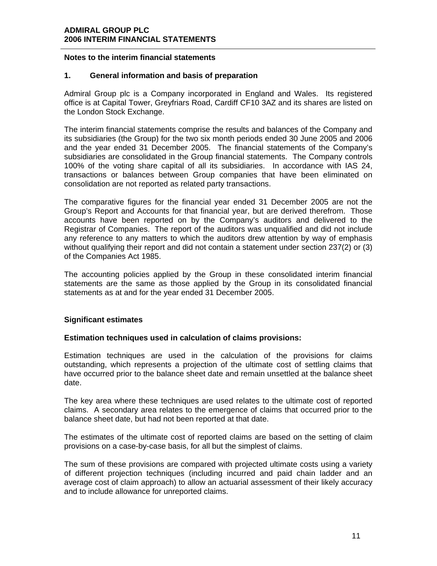### **Notes to the interim financial statements**

### **1. General information and basis of preparation**

Admiral Group plc is a Company incorporated in England and Wales. Its registered office is at Capital Tower, Greyfriars Road, Cardiff CF10 3AZ and its shares are listed on the London Stock Exchange.

The interim financial statements comprise the results and balances of the Company and its subsidiaries (the Group) for the two six month periods ended 30 June 2005 and 2006 and the year ended 31 December 2005. The financial statements of the Company's subsidiaries are consolidated in the Group financial statements. The Company controls 100% of the voting share capital of all its subsidiaries. In accordance with IAS 24, transactions or balances between Group companies that have been eliminated on consolidation are not reported as related party transactions.

The comparative figures for the financial year ended 31 December 2005 are not the Group's Report and Accounts for that financial year, but are derived therefrom. Those accounts have been reported on by the Company's auditors and delivered to the Registrar of Companies. The report of the auditors was unqualified and did not include any reference to any matters to which the auditors drew attention by way of emphasis without qualifying their report and did not contain a statement under section 237(2) or (3) of the Companies Act 1985.

The accounting policies applied by the Group in these consolidated interim financial statements are the same as those applied by the Group in its consolidated financial statements as at and for the year ended 31 December 2005.

### **Significant estimates**

### **Estimation techniques used in calculation of claims provisions:**

Estimation techniques are used in the calculation of the provisions for claims outstanding, which represents a projection of the ultimate cost of settling claims that have occurred prior to the balance sheet date and remain unsettled at the balance sheet date.

The key area where these techniques are used relates to the ultimate cost of reported claims. A secondary area relates to the emergence of claims that occurred prior to the balance sheet date, but had not been reported at that date.

The estimates of the ultimate cost of reported claims are based on the setting of claim provisions on a case-by-case basis, for all but the simplest of claims.

The sum of these provisions are compared with projected ultimate costs using a variety of different projection techniques (including incurred and paid chain ladder and an average cost of claim approach) to allow an actuarial assessment of their likely accuracy and to include allowance for unreported claims.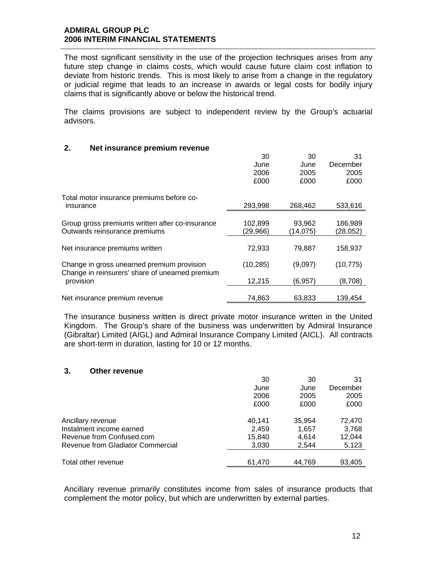The most significant sensitivity in the use of the projection techniques arises from any future step change in claims costs, which would cause future claim cost inflation to deviate from historic trends. This is most likely to arise from a change in the regulatory or judicial regime that leads to an increase in awards or legal costs for bodily injury claims that is significantly above or below the historical trend.

The claims provisions are subject to independent review by the Group's actuarial advisors.

### **2. Net insurance premium revenue**

|                                                 | 30        | 30       | 31        |
|-------------------------------------------------|-----------|----------|-----------|
|                                                 | June      | June     | December  |
|                                                 | 2006      | 2005     | 2005      |
|                                                 | £000      | £000     | £000      |
| Total motor insurance premiums before co-       |           |          |           |
| insurance                                       | 293,998   | 268,462  | 533,616   |
|                                                 |           |          |           |
| Group gross premiums written after co-insurance | 102,899   | 93,962   | 186,989   |
| Outwards reinsurance premiums                   | (29,966)  | (14,075) | (28,052)  |
|                                                 |           |          |           |
| Net insurance premiums written                  | 72,933    | 79,887   | 158,937   |
| Change in gross unearned premium provision      | (10, 285) | (9,097)  | (10, 775) |
| Change in reinsurers' share of unearned premium |           |          |           |
| provision                                       | 12,215    | (6, 957) | (8,708)   |
|                                                 |           |          |           |
| Net insurance premium revenue                   | 74,863    | 63.833   | 139.454   |

The insurance business written is direct private motor insurance written in the United Kingdom. The Group's share of the business was underwritten by Admiral Insurance (Gibraltar) Limited (AIGL) and Admiral Insurance Company Limited (AICL). All contracts are short-term in duration, lasting for 10 or 12 months.

### **3. Other revenue**

|                                   | 30     | 30     | 31       |
|-----------------------------------|--------|--------|----------|
|                                   | June   | June   | December |
|                                   | 2006   | 2005   | 2005     |
|                                   | £000   | £000   | £000     |
| Ancillary revenue                 | 40,141 | 35,954 | 72,470   |
| Instalment income earned          | 2,459  | 1,657  | 3,768    |
| Revenue from Confused.com         | 15,840 | 4,614  | 12,044   |
| Revenue from Gladiator Commercial | 3,030  | 2.544  | 5,123    |
|                                   |        |        |          |
| Total other revenue               | 61,470 | 44,769 | 93,405   |

Ancillary revenue primarily constitutes income from sales of insurance products that complement the motor policy, but which are underwritten by external parties.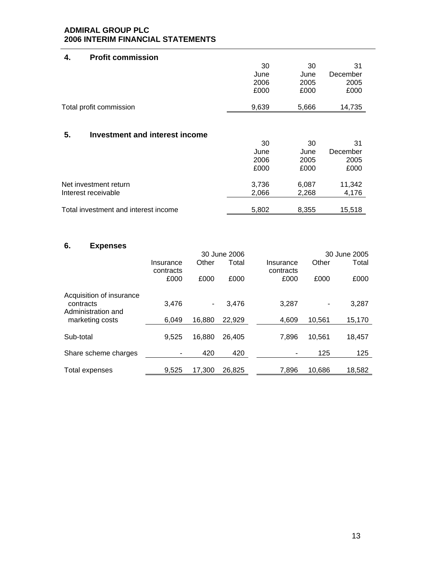| <b>Profit commission</b><br>4.              |       |       |          |
|---------------------------------------------|-------|-------|----------|
|                                             | 30    | 30    | 31       |
|                                             | June  | June  | December |
|                                             | 2006  | 2005  | 2005     |
|                                             | £000  | £000  | £000     |
| Total profit commission                     | 9,639 | 5,666 | 14,735   |
|                                             |       |       |          |
| <b>Investment and interest income</b><br>5. |       |       |          |
|                                             | 30    | 30    | 31       |
|                                             | June  | June  | December |
|                                             | 2006  | 2005  | 2005     |
|                                             | £000  | £000  | £000     |
| Net investment return                       | 3,736 | 6,087 | 11,342   |
| Interest receivable                         | 2,066 | 2,268 | 4,176    |
|                                             |       |       |          |
| Total investment and interest income        | 5,802 | 8,355 | 15,518   |

# **6. Expenses**

|                                                             |                   |        | 30 June 2006 |                   |        | 30 June 2005 |
|-------------------------------------------------------------|-------------------|--------|--------------|-------------------|--------|--------------|
|                                                             | Insurance         | Other  | Total        | Insurance         | Other  | Total        |
|                                                             | contracts<br>£000 | £000   | £000         | contracts<br>£000 | £000   | £000         |
| Acquisition of insurance<br>contracts<br>Administration and | 3,476             | ۰      | 3.476        | 3.287             | -      | 3,287        |
| marketing costs                                             | 6.049             | 16.880 | 22.929       | 4.609             | 10,561 | 15,170       |
| Sub-total                                                   | 9,525             | 16.880 | 26.405       | 7.896             | 10.561 | 18,457       |
| Share scheme charges                                        |                   | 420    | 420          |                   | 125    | 125          |
| Total expenses                                              | 9,525             | 17,300 | 26,825       | 7,896             | 10,686 | 18,582       |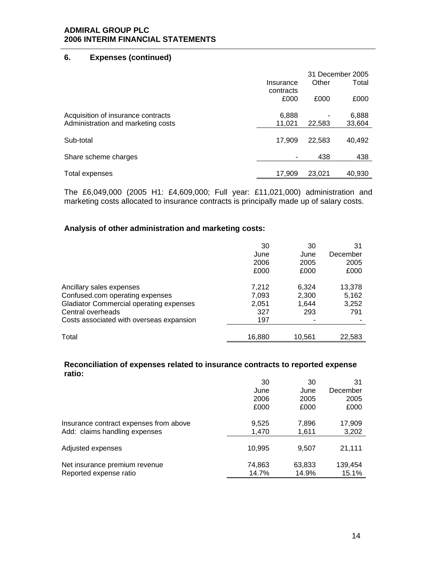### **6. Expenses (continued)**

|                                    |                   |        | 31 December 2005 |
|------------------------------------|-------------------|--------|------------------|
|                                    | Insurance         | Other  | Total            |
|                                    | contracts<br>£000 | £000   | £000             |
| Acquisition of insurance contracts | 6,888             |        | 6,888            |
| Administration and marketing costs | 11,021            | 22,583 | 33,604           |
| Sub-total                          | 17,909            | 22.583 | 40,492           |
| Share scheme charges               | ۰                 | 438    | 438              |
|                                    | 17.909            | 23.021 | 40,930           |
| Total expenses                     |                   |        |                  |

The £6,049,000 (2005 H1: £4,609,000; Full year: £11,021,000) administration and marketing costs allocated to insurance contracts is principally made up of salary costs.

# **Analysis of other administration and marketing costs:**

|                                                | 30     | 30     | 31       |
|------------------------------------------------|--------|--------|----------|
|                                                | June   | June   | December |
|                                                | 2006   | 2005   | 2005     |
|                                                | £000   | £000   | £000     |
| Ancillary sales expenses                       | 7,212  | 6,324  | 13,378   |
| Confused.com operating expenses                | 7,093  | 2,300  | 5,162    |
| <b>Gladiator Commercial operating expenses</b> | 2,051  | 1,644  | 3,252    |
| Central overheads                              | 327    | 293    | 791      |
| Costs associated with overseas expansion       | 197    |        |          |
| Total                                          | 16,880 | 10,561 | 22,583   |

### **Reconciliation of expenses related to insurance contracts to reported expense ratio:**

|                                        | 30     | 30     | 31       |
|----------------------------------------|--------|--------|----------|
|                                        | June   | June   | December |
|                                        | 2006   | 2005   | 2005     |
|                                        | £000   | £000   | £000     |
| Insurance contract expenses from above | 9,525  | 7,896  | 17,909   |
| Add: claims handling expenses          | 1,470  | 1,611  | 3,202    |
| Adjusted expenses                      | 10,995 | 9,507  | 21,111   |
| Net insurance premium revenue          | 74,863 | 63,833 | 139,454  |
| Reported expense ratio                 | 14.7%  | 14.9%  | 15.1%    |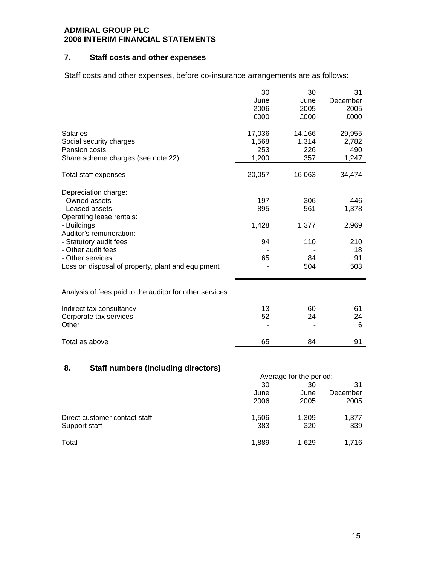# **7. Staff costs and other expenses**

Staff costs and other expenses, before co-insurance arrangements are as follows:

|                                                          | 30     | 30     | 31       |
|----------------------------------------------------------|--------|--------|----------|
|                                                          | June   | June   | December |
|                                                          | 2006   | 2005   | 2005     |
|                                                          | £000   | £000   | £000     |
| <b>Salaries</b>                                          | 17,036 | 14,166 | 29,955   |
| Social security charges                                  | 1,568  | 1,314  | 2,782    |
| Pension costs                                            | 253    | 226    | 490      |
| Share scheme charges (see note 22)                       | 1,200  | 357    | 1,247    |
| Total staff expenses                                     | 20,057 | 16,063 | 34,474   |
| Depreciation charge:                                     |        |        |          |
| - Owned assets                                           | 197    | 306    | 446      |
| - Leased assets                                          | 895    | 561    | 1,378    |
| Operating lease rentals:                                 |        |        |          |
| - Buildings                                              | 1,428  | 1,377  | 2,969    |
| Auditor's remuneration:                                  |        |        |          |
| - Statutory audit fees                                   | 94     | 110    | 210      |
| - Other audit fees                                       |        |        | 18       |
| - Other services                                         | 65     | 84     | 91       |
| Loss on disposal of property, plant and equipment        |        | 504    | 503      |
|                                                          |        |        |          |
| Analysis of fees paid to the auditor for other services: |        |        |          |
| Indirect tax consultancy                                 | 13     | 60     | 61       |
| Corporate tax services                                   | 52     | 24     | 24       |
| Other                                                    |        |        | 6        |
| Total as above                                           | 65     | 84     | 91       |
|                                                          |        |        |          |

# **8. Staff numbers (including directors)**

|                               |       | Average for the period: |                |  |  |
|-------------------------------|-------|-------------------------|----------------|--|--|
|                               | 30    | 30                      | 31<br>December |  |  |
|                               | June  | June                    |                |  |  |
|                               | 2006  | 2005                    | 2005           |  |  |
| Direct customer contact staff | 1,506 | 1,309                   | 1,377          |  |  |
| Support staff                 | 383   | 320                     | 339            |  |  |
|                               |       |                         |                |  |  |
| Total                         | 1,889 | 1,629                   | 1,716          |  |  |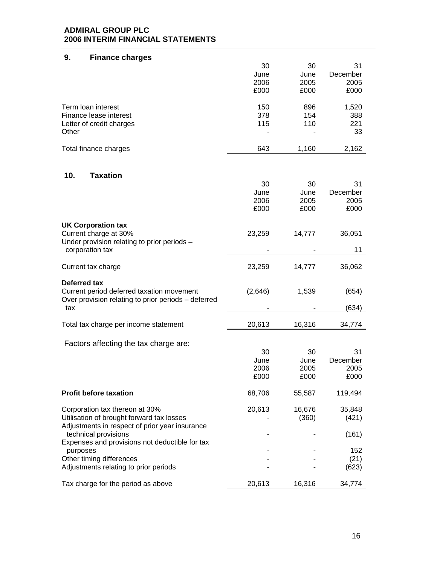| 9.<br><b>Finance charges</b>                                                                |         |              |          |
|---------------------------------------------------------------------------------------------|---------|--------------|----------|
|                                                                                             | 30      | 30           | 31       |
|                                                                                             | June    | June         | December |
|                                                                                             | 2006    | 2005         | 2005     |
|                                                                                             | £000    | £000         | £000     |
| Term loan interest                                                                          | 150     | 896          | 1,520    |
| Finance lease interest                                                                      | 378     | 154          | 388      |
| Letter of credit charges                                                                    | 115     | 110          | 221      |
| Other                                                                                       |         |              | 33       |
| Total finance charges                                                                       | 643     | 1,160        | 2,162    |
|                                                                                             |         |              |          |
| <b>Taxation</b><br>10.                                                                      |         |              | 31       |
|                                                                                             | 30      | 30           |          |
|                                                                                             | June    | June<br>2005 | December |
|                                                                                             | 2006    |              | 2005     |
|                                                                                             | £000    | £000         | £000     |
| <b>UK Corporation tax</b>                                                                   |         |              |          |
| Current charge at 30%<br>Under provision relating to prior periods -                        | 23,259  | 14,777       | 36,051   |
| corporation tax                                                                             |         |              | 11       |
| Current tax charge                                                                          | 23,259  | 14,777       | 36,062   |
| Deferred tax                                                                                |         |              |          |
| Current period deferred taxation movement                                                   | (2,646) | 1,539        | (654)    |
| Over provision relating to prior periods - deferred                                         |         |              |          |
| tax                                                                                         |         |              | (634)    |
| Total tax charge per income statement                                                       | 20,613  | 16,316       | 34,774   |
|                                                                                             |         |              |          |
| Factors affecting the tax charge are:                                                       |         |              |          |
|                                                                                             | 30      | 30           | 31       |
|                                                                                             | June    | June         | December |
|                                                                                             | 2006    | 2005         | 2005     |
|                                                                                             | £000    | £000         | £000     |
| <b>Profit before taxation</b>                                                               | 68,706  | 55,587       | 119,494  |
| Corporation tax thereon at 30%                                                              | 20,613  | 16,676       | 35,848   |
| Utilisation of brought forward tax losses<br>Adjustments in respect of prior year insurance |         | (360)        | (421)    |
| technical provisions                                                                        |         |              | (161)    |
| Expenses and provisions not deductible for tax                                              |         |              |          |
| purposes                                                                                    |         |              | 152      |
| Other timing differences                                                                    |         |              | (21)     |
| Adjustments relating to prior periods                                                       |         |              | (623)    |
| Tax charge for the period as above                                                          | 20,613  | 16,316       | 34,774   |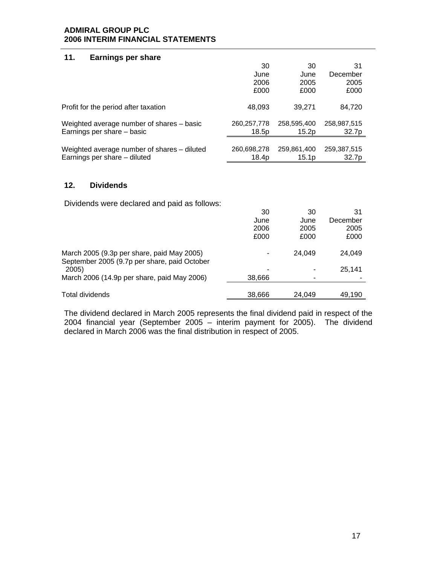### **11. Earnings per share**

|                                             | 30          | 30                | 31                |
|---------------------------------------------|-------------|-------------------|-------------------|
|                                             | June        | June              | December          |
|                                             | 2006        | 2005              | 2005              |
|                                             | £000        | £000              | £000              |
| Profit for the period after taxation        | 48,093      | 39.271            | 84,720            |
| Weighted average number of shares – basic   | 260,257,778 | 258,595,400       | 258,987,515       |
| Earnings per share – basic                  | 18.5p       | 15.2p             | 32.7p             |
|                                             |             |                   |                   |
| Weighted average number of shares – diluted | 260,698,278 | 259,861,400       | 259,387,515       |
| Earnings per share – diluted                | 18.4p       | 15.1 <sub>p</sub> | 32.7 <sub>p</sub> |

### **12. Dividends**

Dividends were declared and paid as follows:

|                                                                                            | 30     | 30     | 31       |
|--------------------------------------------------------------------------------------------|--------|--------|----------|
|                                                                                            | June   | June   | December |
|                                                                                            | 2006   | 2005   | 2005     |
|                                                                                            | £000   | £000   | £000     |
| March 2005 (9.3p per share, paid May 2005)<br>September 2005 (9.7p per share, paid October |        | 24.049 | 24,049   |
| 2005)                                                                                      |        |        | 25.141   |
| March 2006 (14.9p per share, paid May 2006)                                                | 38,666 |        |          |
|                                                                                            |        |        |          |
| Total dividends                                                                            | 38,666 | 24,049 | 49,190   |

The dividend declared in March 2005 represents the final dividend paid in respect of the 2004 financial year (September 2005 – interim payment for 2005). The dividend declared in March 2006 was the final distribution in respect of 2005.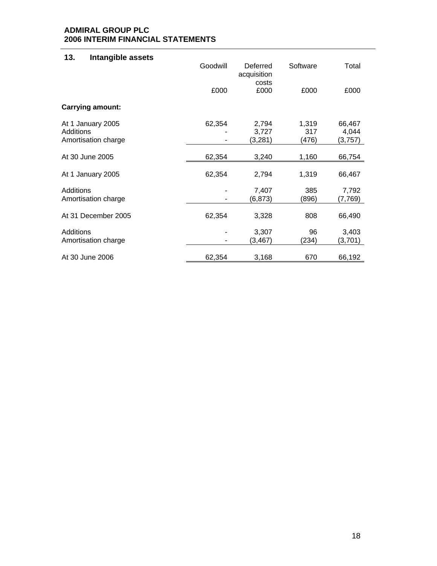# **13. Intangible assets**

|                                                       | Goodwill | Deferred<br>acquisition<br>costs | Software              | Total                      |
|-------------------------------------------------------|----------|----------------------------------|-----------------------|----------------------------|
|                                                       | £000     | £000                             | £000                  | £000                       |
| <b>Carrying amount:</b>                               |          |                                  |                       |                            |
| At 1 January 2005<br>Additions<br>Amortisation charge | 62,354   | 2,794<br>3,727<br>(3,281)        | 1,319<br>317<br>(476) | 66,467<br>4,044<br>(3,757) |
| At 30 June 2005                                       | 62,354   | 3,240                            | 1,160                 | 66,754                     |
| At 1 January 2005                                     | 62,354   | 2,794                            | 1,319                 | 66,467                     |
| Additions<br>Amortisation charge                      |          | 7,407<br>(6, 873)                | 385<br>(896)          | 7,792<br>(7,769)           |
| At 31 December 2005                                   | 62,354   | 3,328                            | 808                   | 66,490                     |
| Additions<br>Amortisation charge                      |          | 3,307<br>(3, 467)                | 96<br>(234)           | 3,403<br>(3,701)           |
| At 30 June 2006                                       | 62,354   | 3,168                            | 670                   | 66,192                     |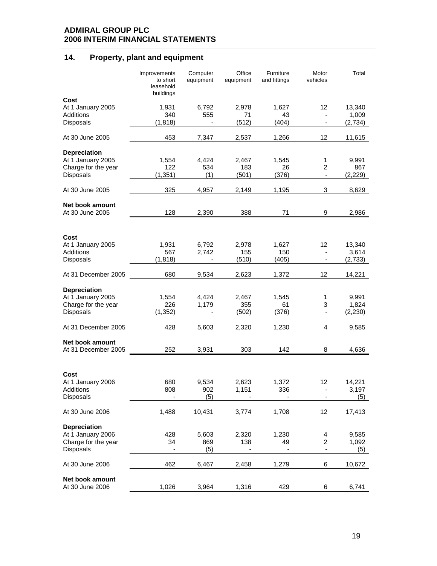# **14. Property, plant and equipment**

|                                        | Improvements<br>to short<br>leasehold<br>buildings | Computer<br>equipment | Office<br>equipment | Furniture<br>and fittings | Motor<br>vehicles        | Total   |
|----------------------------------------|----------------------------------------------------|-----------------------|---------------------|---------------------------|--------------------------|---------|
| Cost                                   |                                                    |                       |                     |                           |                          |         |
| At 1 January 2005                      | 1,931                                              | 6,792                 | 2,978               | 1.627                     | 12                       | 13,340  |
| <b>Additions</b>                       | 340                                                | 555                   | 71                  | 43                        |                          | 1,009   |
| Disposals                              | (1, 818)                                           |                       | (512)               | (404)                     |                          | (2,734) |
| At 30 June 2005                        | 453                                                | 7,347                 | 2,537               | 1,266                     | 12                       | 11,615  |
| <b>Depreciation</b>                    |                                                    |                       |                     |                           |                          |         |
| At 1 January 2005                      | 1,554                                              | 4,424                 | 2,467               | 1,545                     | 1                        | 9,991   |
| Charge for the year                    | 122                                                | 534                   | 183                 | 26                        | 2                        | 867     |
| Disposals                              | (1, 351)                                           | (1)                   | (501)               | (376)                     | $\blacksquare$           | (2,229) |
| At 30 June 2005                        | 325                                                | 4,957                 | 2,149               | 1,195                     | 3                        | 8,629   |
|                                        |                                                    |                       |                     |                           |                          |         |
| Net book amount<br>At 30 June 2005     | 128                                                | 2,390                 | 388                 | 71                        | 9                        | 2,986   |
|                                        |                                                    |                       |                     |                           |                          |         |
| Cost                                   |                                                    |                       |                     |                           |                          |         |
| At 1 January 2005                      | 1,931                                              | 6,792                 | 2,978               | 1,627                     | 12                       | 13,340  |
| <b>Additions</b>                       | 567                                                | 2,742                 | 155                 | 150                       |                          | 3,614   |
| Disposals                              | (1, 818)                                           |                       | (510)               | (405)                     |                          | (2,733) |
|                                        |                                                    |                       |                     |                           |                          |         |
| At 31 December 2005                    | 680                                                | 9,534                 | 2,623               | 1,372                     | 12                       | 14,221  |
| <b>Depreciation</b>                    |                                                    |                       |                     |                           |                          |         |
| At 1 January 2005                      | 1,554                                              | 4,424                 | 2,467               | 1,545                     | 1                        | 9,991   |
| Charge for the year                    | 226                                                | 1,179                 | 355                 | 61                        | 3                        | 1,824   |
| Disposals                              | (1, 352)                                           |                       | (502)               | (376)                     | $\overline{\phantom{a}}$ | (2,230) |
|                                        |                                                    |                       |                     |                           |                          |         |
| At 31 December 2005                    | 428                                                | 5,603                 | 2,320               | 1,230                     | 4                        | 9,585   |
| Net book amount<br>At 31 December 2005 | 252                                                | 3,931                 | 303                 | 142                       | 8                        | 4,636   |
|                                        |                                                    |                       |                     |                           |                          |         |
| Cost                                   |                                                    |                       |                     |                           |                          |         |
| At 1 January 2006                      | 680                                                | 9,534                 | 2,623               | 1,372                     | 12                       | 14,221  |
| Additions                              | 808                                                | 902                   | 1,151               | 336                       |                          | 3,197   |
| Disposals                              |                                                    | (5)                   |                     |                           |                          | (5)     |
|                                        |                                                    |                       |                     |                           |                          |         |
| At 30 June 2006                        | 1,488                                              | 10,431                | 3,774               | 1,708                     | 12                       | 17,413  |
| <b>Depreciation</b>                    |                                                    |                       |                     |                           |                          |         |
| At 1 January 2006                      | 428                                                | 5,603                 | 2,320               | 1,230                     | 4                        | 9,585   |
| Charge for the year                    | 34                                                 | 869                   | 138                 | 49                        | 2                        | 1,092   |
| Disposals                              |                                                    | (5)                   |                     |                           | $\overline{\phantom{a}}$ | (5)     |
|                                        |                                                    |                       |                     |                           |                          |         |
| At 30 June 2006                        | 462                                                | 6,467                 | 2,458               | 1,279                     | 6                        | 10,672  |
| Net book amount                        |                                                    |                       |                     |                           |                          |         |
| At 30 June 2006                        | 1,026                                              | 3,964                 | 1,316               | 429                       | 6                        | 6,741   |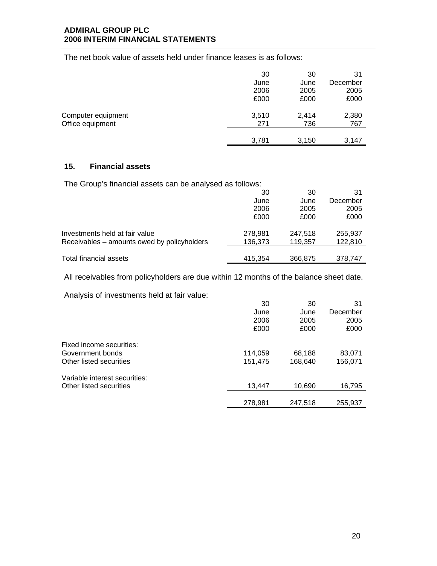The net book value of assets held under finance leases is as follows:

|                    | 30    | 30    | 31       |
|--------------------|-------|-------|----------|
|                    | June  | June  | December |
|                    | 2006  | 2005  | 2005     |
|                    | £000  | £000  | £000     |
| Computer equipment | 3,510 | 2,414 | 2,380    |
| Office equipment   | 271   | 736   | 767      |
|                    |       |       |          |
|                    | 3,781 | 3,150 | 3,147    |

# **15. Financial assets**

The Group's financial assets can be analysed as follows:

|                                             | 30      | 30      | 31       |
|---------------------------------------------|---------|---------|----------|
|                                             | June    | June    | December |
|                                             | 2006    | 2005    | 2005     |
|                                             | £000    | £000    | £000     |
| Investments held at fair value              | 278.981 | 247.518 | 255,937  |
| Receivables – amounts owed by policyholders | 136,373 | 119,357 | 122,810  |
|                                             |         |         |          |
| Total financial assets                      | 415.354 | 366,875 | 378.747  |

All receivables from policyholders are due within 12 months of the balance sheet date.

Analysis of investments held at fair value:

|                               | 30      | 30      | 31       |
|-------------------------------|---------|---------|----------|
|                               | June    | June    | December |
|                               | 2006    | 2005    | 2005     |
|                               | £000    | £000    | £000     |
| Fixed income securities:      |         |         |          |
| Government bonds              | 114,059 | 68,188  | 83,071   |
| Other listed securities       | 151,475 | 168,640 | 156,071  |
| Variable interest securities: |         |         |          |
| Other listed securities       | 13,447  | 10,690  | 16,795   |
|                               |         |         |          |
|                               | 278,981 | 247,518 | 255,937  |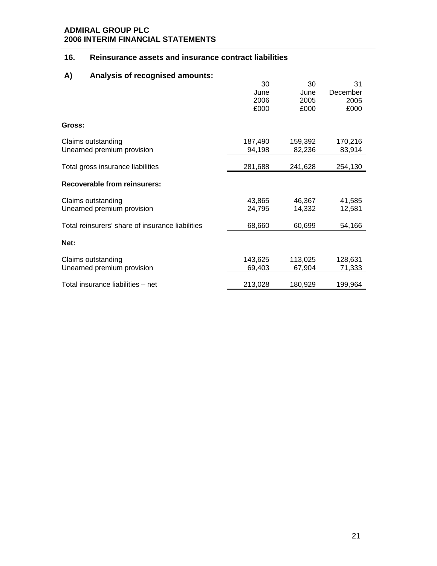# **16. Reinsurance assets and insurance contract liabilities**

# **A) Analysis of recognised amounts:**

|                                                  | 30<br>June<br>2006<br>£000 | 30<br>June<br>2005<br>£000 | 31<br>December<br>2005 |
|--------------------------------------------------|----------------------------|----------------------------|------------------------|
| Gross:                                           |                            |                            | £000                   |
| Claims outstanding<br>Unearned premium provision | 187,490<br>94,198          | 159,392<br>82,236          | 170,216<br>83,914      |
| Total gross insurance liabilities                | 281,688                    | 241,628                    | 254,130                |
| <b>Recoverable from reinsurers:</b>              |                            |                            |                        |
| Claims outstanding<br>Unearned premium provision | 43,865<br>24,795           | 46,367<br>14,332           | 41,585<br>12,581       |
| Total reinsurers' share of insurance liabilities | 68,660                     | 60,699                     | 54,166                 |
| Net:                                             |                            |                            |                        |
| Claims outstanding<br>Unearned premium provision | 143,625<br>69,403          | 113,025<br>67,904          | 128,631<br>71,333      |
| Total insurance liabilities - net                | 213,028                    | 180,929                    | 199,964                |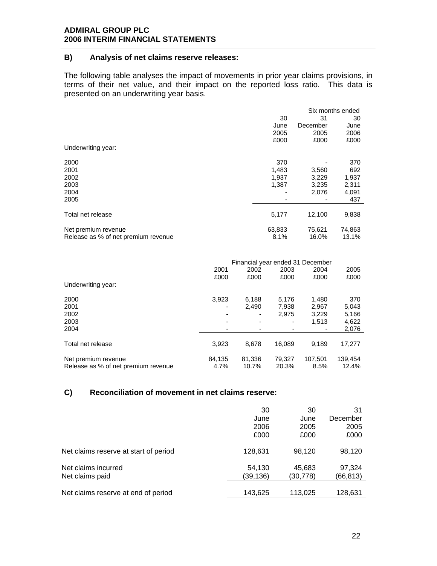### **B) Analysis of net claims reserve releases:**

The following table analyses the impact of movements in prior year claims provisions, in terms of their net value, and their impact on the reported loss ratio. This data is presented on an underwriting year basis.

|                                                            |                |                 | Six months ended |
|------------------------------------------------------------|----------------|-----------------|------------------|
|                                                            | 30             | 31              | 30               |
|                                                            | June           | December        | June             |
|                                                            | 2005           | 2005            | 2006             |
|                                                            | £000           | £000            | £000             |
| Underwriting year:                                         |                |                 |                  |
| 2000                                                       | 370            |                 | 370              |
| 2001                                                       | 1,483          | 3,560           | 692              |
| 2002                                                       | 1,937          | 3,229           | 1,937            |
| 2003                                                       | 1,387          | 3,235           | 2,311            |
| 2004                                                       |                | 2,076           | 4,091            |
| 2005                                                       |                |                 | 437              |
| Total net release                                          | 5,177          | 12,100          | 9,838            |
| Net premium revenue<br>Release as % of net premium revenue | 63,833<br>8.1% | 75,621<br>16.0% | 74,863<br>13.1%  |

|                                     | Financial year ended 31 December |        |        |         |         |
|-------------------------------------|----------------------------------|--------|--------|---------|---------|
|                                     | 2001                             | 2002   | 2003   | 2004    | 2005    |
|                                     | £000                             | £000   | £000   | £000    | £000    |
| Underwriting year:                  |                                  |        |        |         |         |
| 2000                                | 3.923                            | 6,188  | 5,176  | 1,480   | 370     |
| 2001                                |                                  | 2.490  | 7,938  | 2,967   | 5,043   |
| 2002                                |                                  |        | 2,975  | 3.229   | 5,166   |
| 2003                                |                                  | -      |        | 1.513   | 4,622   |
| 2004                                |                                  |        |        |         | 2,076   |
|                                     |                                  |        |        |         |         |
| Total net release                   | 3.923                            | 8.678  | 16.089 | 9.189   | 17,277  |
| Net premium revenue                 | 84,135                           | 81,336 | 79.327 | 107.501 | 139,454 |
| Release as % of net premium revenue | 4.7%                             | 10.7%  | 20.3%  | 8.5%    | 12.4%   |

# **C) Reconciliation of movement in net claims reserve:**

|                                       | 30       | 30       | 31       |
|---------------------------------------|----------|----------|----------|
|                                       | June     | June     | December |
|                                       | 2006     | 2005     | 2005     |
|                                       | £000     | £000     | £000     |
| Net claims reserve at start of period | 128,631  | 98,120   | 98,120   |
| Net claims incurred                   | 54,130   | 45,683   | 97,324   |
| Net claims paid                       | (39,136) | (30,778) | (66,813) |
| Net claims reserve at end of period   | 143,625  | 113,025  | 128,631  |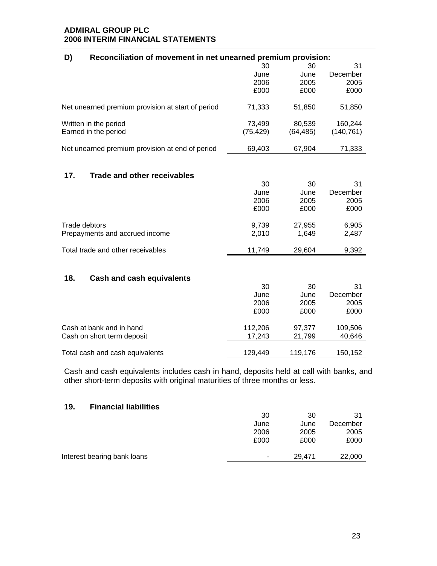| D)<br>Reconciliation of movement in net unearned premium provision: |          |          |           |  |  |
|---------------------------------------------------------------------|----------|----------|-----------|--|--|
|                                                                     | 30       | 30       | 31        |  |  |
|                                                                     | June     | June     | December  |  |  |
|                                                                     | 2006     | 2005     | 2005      |  |  |
|                                                                     | £000     | £000     | £000      |  |  |
| Net unearned premium provision at start of period                   | 71,333   | 51,850   | 51,850    |  |  |
| Written in the period                                               | 73,499   | 80,539   | 160,244   |  |  |
| Earned in the period                                                | (75,429) | (64,485) | (140,761) |  |  |
| Net unearned premium provision at end of period                     | 69,403   | 67,904   | 71,333    |  |  |
|                                                                     |          |          |           |  |  |
| 17.<br><b>Trade and other receivables</b>                           |          |          |           |  |  |
|                                                                     | 30       | 30       | 31        |  |  |
|                                                                     | June     | June     | December  |  |  |
|                                                                     | 2006     | 2005     | 2005      |  |  |
|                                                                     | £000     | £000     | £000      |  |  |
| Trade debtors                                                       | 9,739    | 27,955   | 6,905     |  |  |
| Prepayments and accrued income                                      | 2,010    | 1,649    | 2,487     |  |  |
| Total trade and other receivables                                   | 11,749   | 29,604   | 9,392     |  |  |
|                                                                     |          |          |           |  |  |
| 18.<br><b>Cash and cash equivalents</b>                             |          |          |           |  |  |
|                                                                     | 30       | 30       | 31        |  |  |
|                                                                     | June     | June     | December  |  |  |
|                                                                     | 2006     | 2005     | 2005      |  |  |
|                                                                     | £000     | £000     | £000      |  |  |
| Cash at bank and in hand                                            | 112,206  | 97,377   | 109,506   |  |  |
| Cash on short term deposit                                          | 17,243   | 21,799   | 40,646    |  |  |
| Total cash and cash equivalents                                     | 129,449  | 119,176  | 150,152   |  |  |
|                                                                     |          |          |           |  |  |

Cash and cash equivalents includes cash in hand, deposits held at call with banks, and other short-term deposits with original maturities of three months or less.

## **19. Financial liabilities**

|                             | 30   | 30     | 31       |
|-----------------------------|------|--------|----------|
|                             | June | June   | December |
|                             | 2006 | 2005   | 2005     |
|                             | £000 | £000   | £000     |
|                             |      |        |          |
| Interest bearing bank loans | ۰    | 29.471 | 22,000   |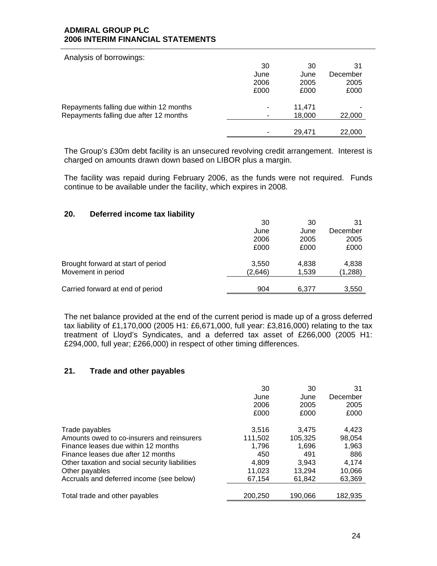| Analysis of borrowings:                 |      |        |          |
|-----------------------------------------|------|--------|----------|
|                                         | 30   | 30     | 31       |
|                                         | June | June   | December |
|                                         | 2006 | 2005   | 2005     |
|                                         | £000 | £000   | £000     |
| Repayments falling due within 12 months | ۰    | 11,471 |          |
| Repayments falling due after 12 months  |      | 18,000 | 22,000   |
|                                         |      |        |          |
|                                         |      | 29.471 | 22,000   |

The Group's £30m debt facility is an unsecured revolving credit arrangement. Interest is charged on amounts drawn down based on LIBOR plus a margin.

The facility was repaid during February 2006, as the funds were not required. Funds continue to be available under the facility, which expires in 2008.

# **20. Deferred income tax liability**

| 30      | 30    | 31       |
|---------|-------|----------|
| June    | June  | December |
| 2006    | 2005  | 2005     |
| £000    | £000  | £000     |
| 3,550   | 4,838 | 4,838    |
| (2,646) | 1,539 | (1,288)  |
| 904     | 6.377 | 3,550    |
|         |       |          |

The net balance provided at the end of the current period is made up of a gross deferred tax liability of £1,170,000 (2005 H1: £6,671,000, full year: £3,816,000) relating to the tax treatment of Lloyd's Syndicates, and a deferred tax asset of £266,000 (2005 H1: £294,000, full year; £266,000) in respect of other timing differences.

### **21. Trade and other payables**

|                                                | 30      | 30      | 31       |
|------------------------------------------------|---------|---------|----------|
|                                                | June    | June    | December |
|                                                | 2006    | 2005    | 2005     |
|                                                | £000    | £000    | £000     |
| Trade payables                                 | 3.516   | 3.475   | 4.423    |
| Amounts owed to co-insurers and reinsurers     | 111,502 | 105,325 | 98,054   |
| Finance leases due within 12 months            | 1.796   | 1,696   | 1,963    |
| Finance leases due after 12 months             | 450     | 491     | 886      |
| Other taxation and social security liabilities | 4.809   | 3.943   | 4.174    |
| Other payables                                 | 11,023  | 13.294  | 10,066   |
| Accruals and deferred income (see below)       | 67,154  | 61.842  | 63,369   |
| Total trade and other payables                 | 200,250 | 190,066 | 182,935  |
|                                                |         |         |          |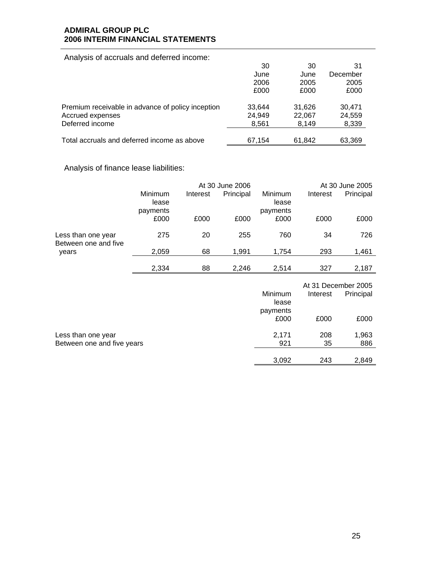Analysis of accruals and deferred income:

|                                                   | 30     | 30     | 31       |
|---------------------------------------------------|--------|--------|----------|
|                                                   | June   | June   | December |
|                                                   | 2006   | 2005   | 2005     |
|                                                   | £000   | £000   | £000     |
| Premium receivable in advance of policy inception | 33.644 | 31.626 | 30.471   |
| Accrued expenses                                  | 24,949 | 22,067 | 24,559   |
| Deferred income                                   | 8,561  | 8,149  | 8,339    |
| Total accruals and deferred income as above       | 67.154 | 61,842 | 63,369   |

# Analysis of finance lease liabilities:

|                                                  | At 30 June 2006              |          | At 30 June 2005 |                              |           |                     |
|--------------------------------------------------|------------------------------|----------|-----------------|------------------------------|-----------|---------------------|
|                                                  | Minimum<br>lease<br>payments | Interest | Principal       | Minimum<br>lease<br>payments | Interest  | Principal           |
|                                                  | £000                         | £000     | £000            | £000                         | £000      | £000                |
| Less than one year<br>Between one and five       | 275                          | 20       | 255             | 760                          | 34        | 726                 |
| years                                            | 2,059                        | 68       | 1,991           | 1,754                        | 293       | 1,461               |
|                                                  | 2,334                        | 88       | 2,246           | 2,514                        | 327       | 2,187               |
|                                                  |                              |          |                 |                              |           | At 31 December 2005 |
|                                                  |                              |          |                 | Minimum<br>lease             | Interest  | Principal           |
|                                                  |                              |          |                 | payments<br>£000             | £000      | £000                |
| Less than one year<br>Between one and five years |                              |          |                 | 2,171<br>921                 | 208<br>35 | 1,963<br>886        |
|                                                  |                              |          |                 | 3,092                        | 243       | 2,849               |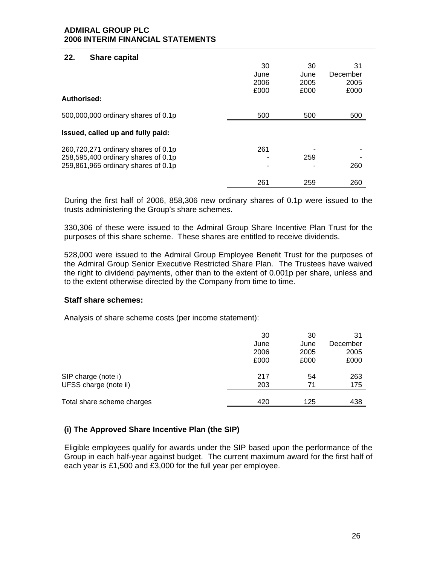### **22. Share capital**

|                                                                                                                   | 30<br>June<br>2006 | 30<br>June<br>2005 | 31<br>December<br>2005 |
|-------------------------------------------------------------------------------------------------------------------|--------------------|--------------------|------------------------|
| Authorised:                                                                                                       | £000               | £000               | £000                   |
| 500,000,000 ordinary shares of 0.1p                                                                               | 500                | 500                | 500                    |
| Issued, called up and fully paid:                                                                                 |                    |                    |                        |
| 260,720,271 ordinary shares of 0.1p<br>258,595,400 ordinary shares of 0.1p<br>259,861,965 ordinary shares of 0.1p | 261                | 259                | 260                    |
|                                                                                                                   | 261                | 259                | 260                    |

During the first half of 2006, 858,306 new ordinary shares of 0.1p were issued to the trusts administering the Group's share schemes.

330,306 of these were issued to the Admiral Group Share Incentive Plan Trust for the purposes of this share scheme. These shares are entitled to receive dividends.

528,000 were issued to the Admiral Group Employee Benefit Trust for the purposes of the Admiral Group Senior Executive Restricted Share Plan. The Trustees have waived the right to dividend payments, other than to the extent of 0.001p per share, unless and to the extent otherwise directed by the Company from time to time.

### **Staff share schemes:**

Analysis of share scheme costs (per income statement):

|                            | 30   | 30   | 31       |
|----------------------------|------|------|----------|
|                            | June | June | December |
|                            | 2006 | 2005 | 2005     |
|                            | £000 | £000 | £000     |
| SIP charge (note i)        | 217  | 54   | 263      |
| UFSS charge (note ii)      | 203  | 71   | 175      |
|                            |      |      |          |
| Total share scheme charges | 420  | 125  | 438      |

### **(i) The Approved Share Incentive Plan (the SIP)**

Eligible employees qualify for awards under the SIP based upon the performance of the Group in each half-year against budget. The current maximum award for the first half of each year is £1,500 and £3,000 for the full year per employee.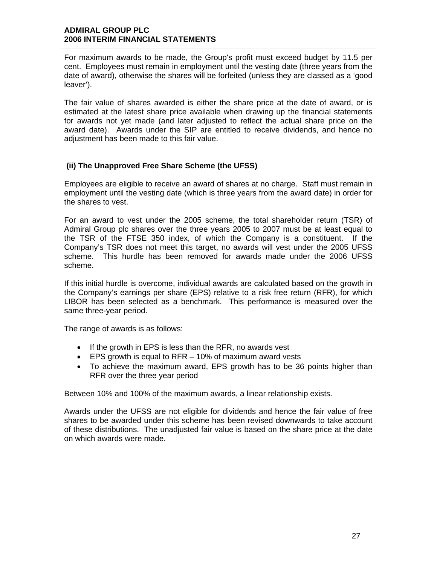For maximum awards to be made, the Group's profit must exceed budget by 11.5 per cent. Employees must remain in employment until the vesting date (three years from the date of award), otherwise the shares will be forfeited (unless they are classed as a 'good leaver').

The fair value of shares awarded is either the share price at the date of award, or is estimated at the latest share price available when drawing up the financial statements for awards not yet made (and later adjusted to reflect the actual share price on the award date). Awards under the SIP are entitled to receive dividends, and hence no adjustment has been made to this fair value.

### **(ii) The Unapproved Free Share Scheme (the UFSS)**

Employees are eligible to receive an award of shares at no charge. Staff must remain in employment until the vesting date (which is three years from the award date) in order for the shares to vest.

For an award to vest under the 2005 scheme, the total shareholder return (TSR) of Admiral Group plc shares over the three years 2005 to 2007 must be at least equal to the TSR of the FTSE 350 index, of which the Company is a constituent. If the Company's TSR does not meet this target, no awards will vest under the 2005 UFSS scheme. This hurdle has been removed for awards made under the 2006 UFSS scheme.

If this initial hurdle is overcome, individual awards are calculated based on the growth in the Company's earnings per share (EPS) relative to a risk free return (RFR), for which LIBOR has been selected as a benchmark. This performance is measured over the same three-year period.

The range of awards is as follows:

- If the growth in EPS is less than the RFR, no awards vest
- EPS growth is equal to RFR 10% of maximum award vests
- To achieve the maximum award, EPS growth has to be 36 points higher than RFR over the three year period

Between 10% and 100% of the maximum awards, a linear relationship exists.

Awards under the UFSS are not eligible for dividends and hence the fair value of free shares to be awarded under this scheme has been revised downwards to take account of these distributions. The unadjusted fair value is based on the share price at the date on which awards were made.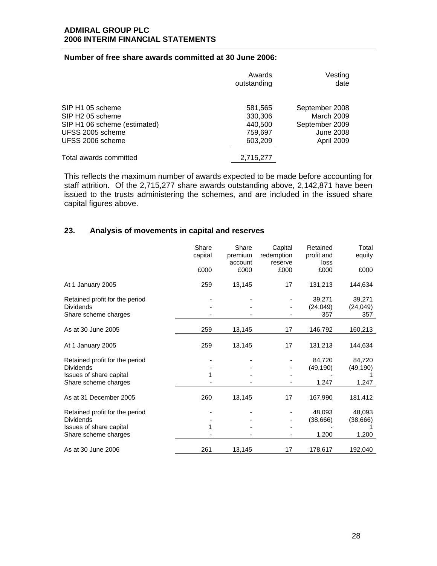### **Number of free share awards committed at 30 June 2006:**

|                                                                                                                          | Awards<br>outstanding                               | Vesting<br>date                                                                  |
|--------------------------------------------------------------------------------------------------------------------------|-----------------------------------------------------|----------------------------------------------------------------------------------|
| SIP H1 05 scheme<br>SIP H <sub>2</sub> 05 scheme<br>SIP H1 06 scheme (estimated)<br>UFSS 2005 scheme<br>UFSS 2006 scheme | 581,565<br>330,306<br>440,500<br>759,697<br>603,209 | September 2008<br>March 2009<br>September 2009<br><b>June 2008</b><br>April 2009 |
| Total awards committed                                                                                                   | 2,715,277                                           |                                                                                  |

This reflects the maximum number of awards expected to be made before accounting for staff attrition. Of the 2,715,277 share awards outstanding above, 2,142,871 have been issued to the trusts administering the schemes, and are included in the issued share capital figures above.

# **23. Analysis of movements in capital and reserves**

|                                                    | Share<br>capital | Share<br>premium<br>account | Capital<br>redemption<br>reserve | Retained<br>profit and<br>loss | Total<br>equity  |
|----------------------------------------------------|------------------|-----------------------------|----------------------------------|--------------------------------|------------------|
|                                                    | £000             | £000                        | £000                             | £000                           | £000             |
| At 1 January 2005                                  | 259              | 13,145                      | 17                               | 131,213                        | 144,634          |
| Retained profit for the period                     |                  |                             |                                  | 39,271                         | 39,271           |
| <b>Dividends</b><br>Share scheme charges           |                  |                             |                                  | (24, 049)<br>357               | (24, 049)<br>357 |
| As at 30 June 2005                                 | 259              | 13,145                      | 17                               | 146,792                        | 160,213          |
| At 1 January 2005                                  | 259              | 13,145                      | 17                               | 131,213                        | 144,634          |
| Retained profit for the period<br><b>Dividends</b> |                  |                             |                                  | 84,720                         | 84,720           |
| Issues of share capital                            |                  |                             |                                  | (49, 190)                      | (49, 190)        |
| Share scheme charges                               |                  |                             |                                  | 1,247                          | 1,247            |
| As at 31 December 2005                             | 260              | 13,145                      | 17                               | 167,990                        | 181,412          |
| Retained profit for the period                     |                  |                             |                                  | 48,093                         | 48,093           |
| <b>Dividends</b>                                   |                  |                             |                                  | (38, 666)                      | (38, 666)        |
| Issues of share capital                            |                  |                             |                                  |                                |                  |
| Share scheme charges                               |                  |                             |                                  | 1,200                          | 1,200            |
| As at 30 June 2006                                 | 261              | 13,145                      | 17                               | 178,617                        | 192,040          |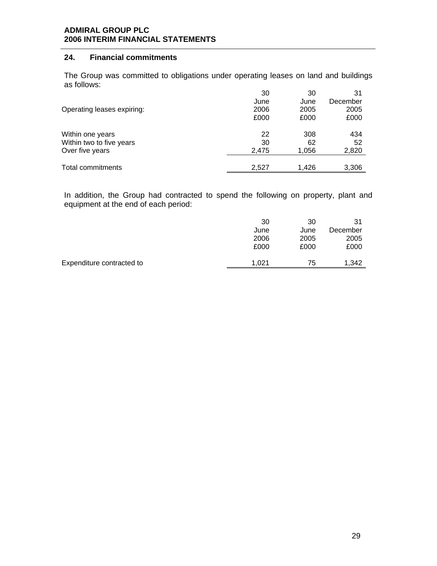### **24. Financial commitments**

The Group was committed to obligations under operating leases on land and buildings as follows:

|                            | 30    | 30    | 31       |
|----------------------------|-------|-------|----------|
|                            | June  | June  | December |
| Operating leases expiring: | 2006  | 2005  | 2005     |
|                            | £000  | £000  | £000     |
| Within one years           | 22    | 308   | 434      |
| Within two to five years   | 30    | 62    | 52       |
| Over five years            | 2,475 | 1,056 | 2,820    |
|                            |       |       |          |
| Total commitments          | 2,527 | 1,426 | 3,306    |

In addition, the Group had contracted to spend the following on property, plant and equipment at the end of each period:

|                           | 30    | 30   | 31       |
|---------------------------|-------|------|----------|
|                           | June  | June | December |
|                           | 2006  | 2005 | 2005     |
|                           | £000  | £000 | £000     |
|                           |       |      |          |
| Expenditure contracted to | 1.021 | 75   | 1.342    |